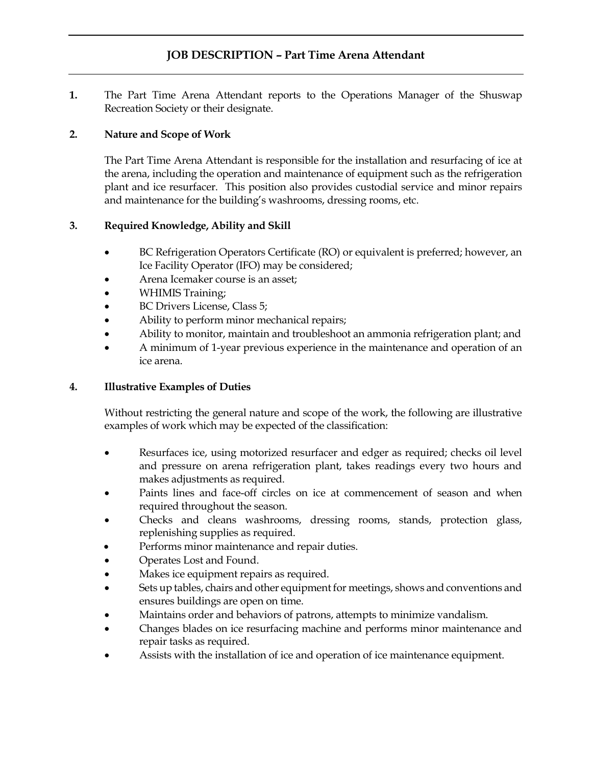## **JOB DESCRIPTION – Part Time Arena Attendant**

**1.** The Part Time Arena Attendant reports to the Operations Manager of the Shuswap Recreation Society or their designate.

## **2. Nature and Scope of Work**

The Part Time Arena Attendant is responsible for the installation and resurfacing of ice at the arena, including the operation and maintenance of equipment such as the refrigeration plant and ice resurfacer. This position also provides custodial service and minor repairs and maintenance for the building's washrooms, dressing rooms, etc.

## **3. Required Knowledge, Ability and Skill**

- BC Refrigeration Operators Certificate (RO) or equivalent is preferred; however, an Ice Facility Operator (IFO) may be considered;
- Arena Icemaker course is an asset;
- WHIMIS Training;
- BC Drivers License, Class 5;
- Ability to perform minor mechanical repairs;
- Ability to monitor, maintain and troubleshoot an ammonia refrigeration plant; and
- A minimum of 1-year previous experience in the maintenance and operation of an ice arena.

## **4. Illustrative Examples of Duties**

Without restricting the general nature and scope of the work, the following are illustrative examples of work which may be expected of the classification:

- Resurfaces ice, using motorized resurfacer and edger as required; checks oil level and pressure on arena refrigeration plant, takes readings every two hours and makes adjustments as required.
- Paints lines and face-off circles on ice at commencement of season and when required throughout the season.
- Checks and cleans washrooms, dressing rooms, stands, protection glass, replenishing supplies as required.
- Performs minor maintenance and repair duties.
- Operates Lost and Found.
- Makes ice equipment repairs as required.
- Sets up tables, chairs and other equipment for meetings, shows and conventions and ensures buildings are open on time.
- Maintains order and behaviors of patrons, attempts to minimize vandalism.
- Changes blades on ice resurfacing machine and performs minor maintenance and repair tasks as required.
- Assists with the installation of ice and operation of ice maintenance equipment.